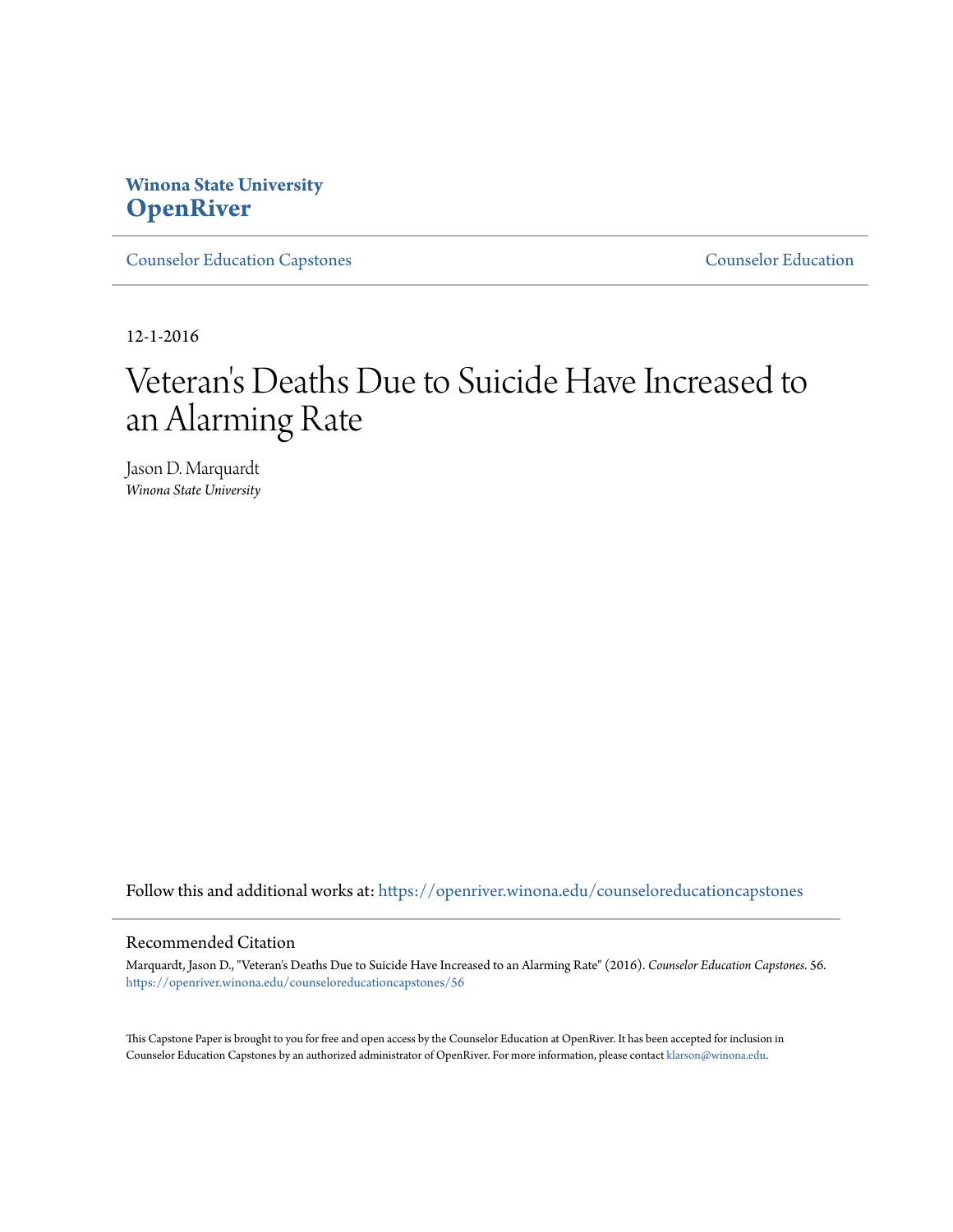# **Winona State University [OpenRiver](https://openriver.winona.edu?utm_source=openriver.winona.edu%2Fcounseloreducationcapstones%2F56&utm_medium=PDF&utm_campaign=PDFCoverPages)**

[Counselor Education Capstones](https://openriver.winona.edu/counseloreducationcapstones?utm_source=openriver.winona.edu%2Fcounseloreducationcapstones%2F56&utm_medium=PDF&utm_campaign=PDFCoverPages) [Counselor Education](https://openriver.winona.edu/counseloreducation?utm_source=openriver.winona.edu%2Fcounseloreducationcapstones%2F56&utm_medium=PDF&utm_campaign=PDFCoverPages)

12-1-2016

# Veteran 's Deaths Due to Suicide Have Increased to an Alarming Rate

Jason D. Marquardt *Winona State University*

Follow this and additional works at: [https://openriver.winona.edu/counseloreducationcapstones](https://openriver.winona.edu/counseloreducationcapstones?utm_source=openriver.winona.edu%2Fcounseloreducationcapstones%2F56&utm_medium=PDF&utm_campaign=PDFCoverPages)

# Recommended Citation

Marquardt, Jason D., "Veteran's Deaths Due to Suicide Have Increased to an Alarming Rate" (2016). *Counselor Education Capstones*. 56. [https://openriver.winona.edu/counseloreducationcapstones/56](https://openriver.winona.edu/counseloreducationcapstones/56?utm_source=openriver.winona.edu%2Fcounseloreducationcapstones%2F56&utm_medium=PDF&utm_campaign=PDFCoverPages)

This Capstone Paper is brought to you for free and open access by the Counselor Education at OpenRiver. It has been accepted for inclusion in Counselor Education Capstones by an authorized administrator of OpenRiver. For more information, please contact [klarson@winona.edu](mailto:klarson@winona.edu).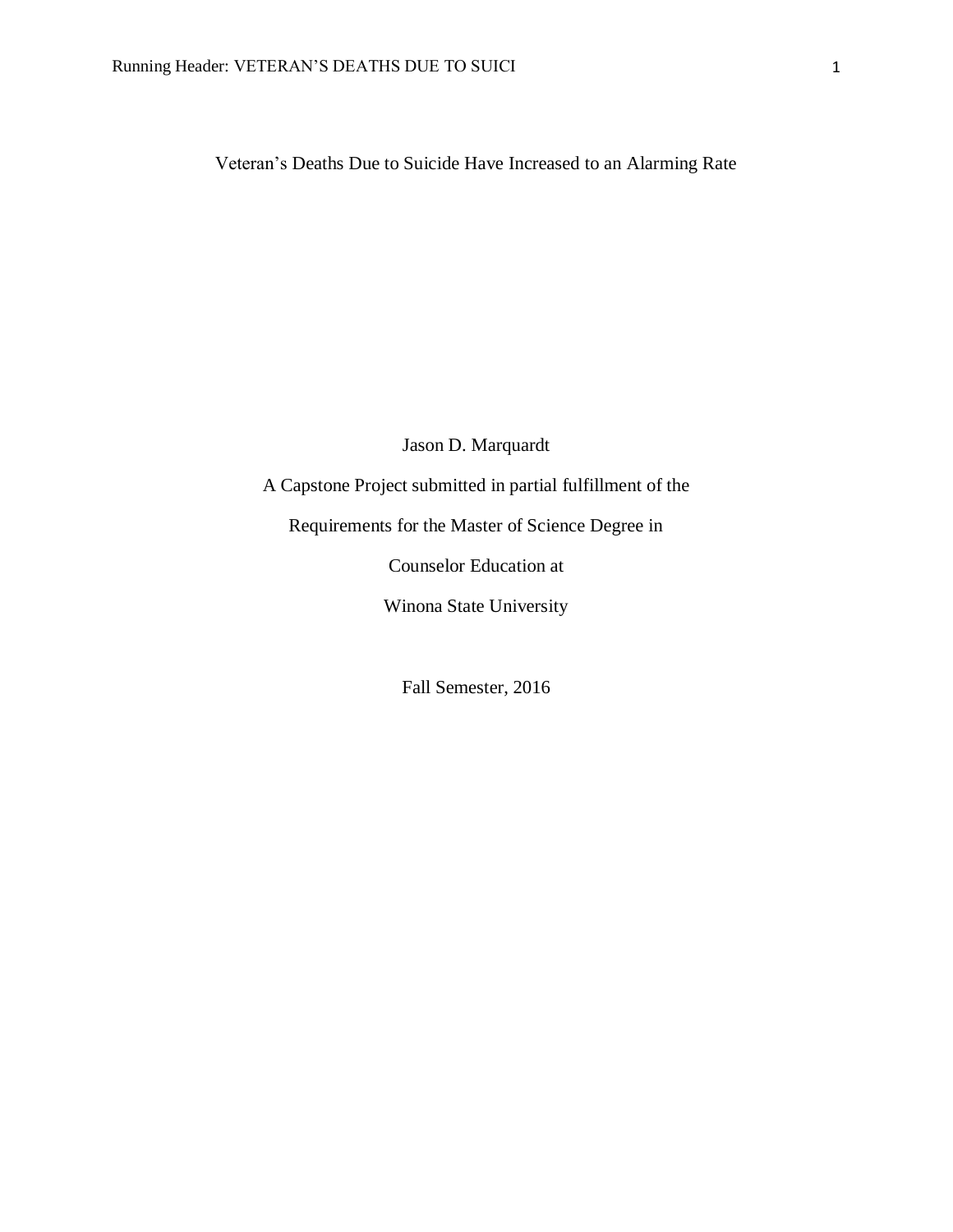Veteran's Deaths Due to Suicide Have Increased to an Alarming Rate

Jason D. Marquardt

A Capstone Project submitted in partial fulfillment of the

Requirements for the Master of Science Degree in

Counselor Education at

Winona State University

Fall Semester, 2016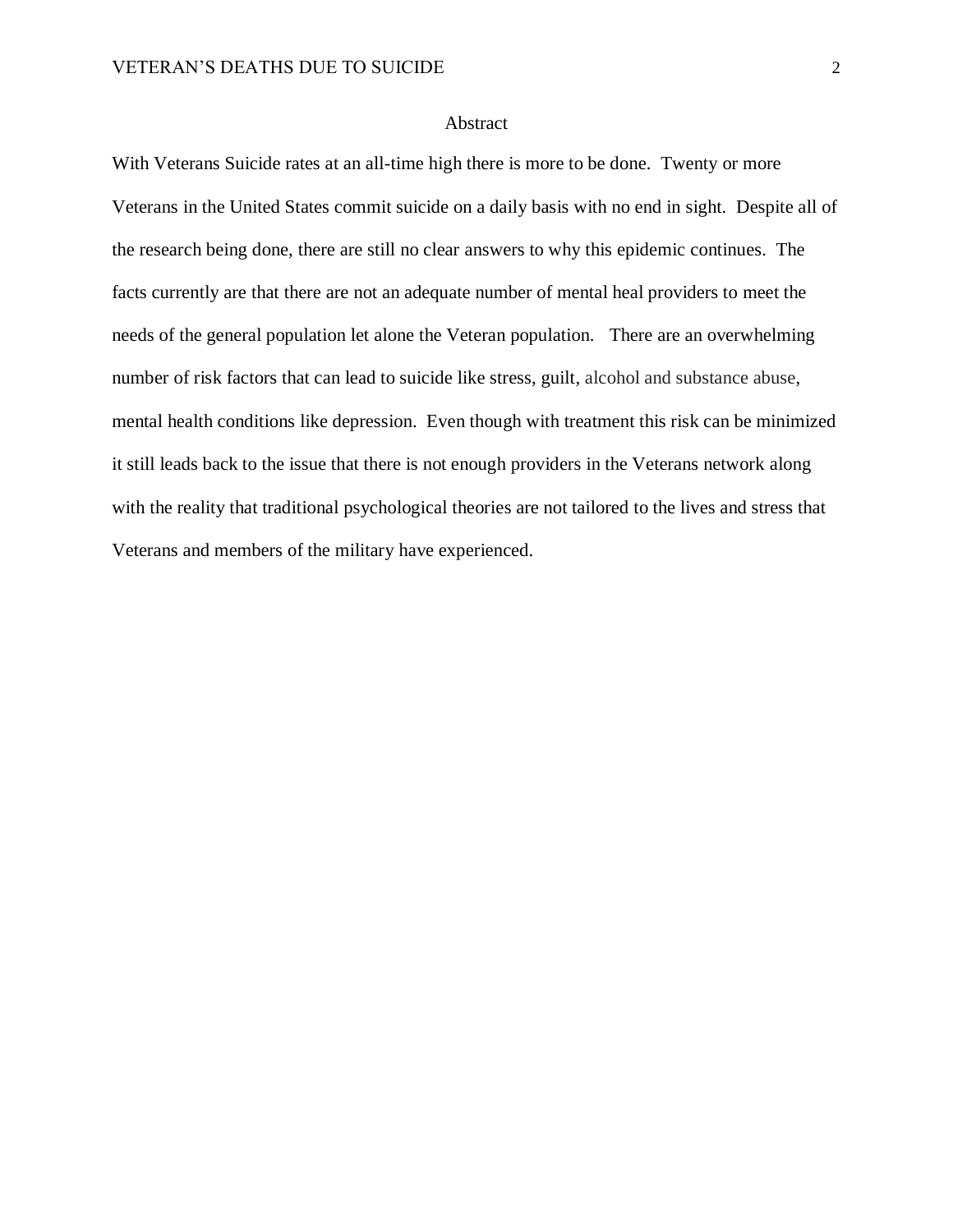# Abstract

With Veterans Suicide rates at an all-time high there is more to be done. Twenty or more Veterans in the United States commit suicide on a daily basis with no end in sight. Despite all of the research being done, there are still no clear answers to why this epidemic continues. The facts currently are that there are not an adequate number of mental heal providers to meet the needs of the general population let alone the Veteran population. There are an overwhelming number of risk factors that can lead to suicide like stress, guilt, alcohol and substance abuse, mental health conditions like depression. Even though with treatment this risk can be minimized it still leads back to the issue that there is not enough providers in the Veterans network along with the reality that traditional psychological theories are not tailored to the lives and stress that Veterans and members of the military have experienced.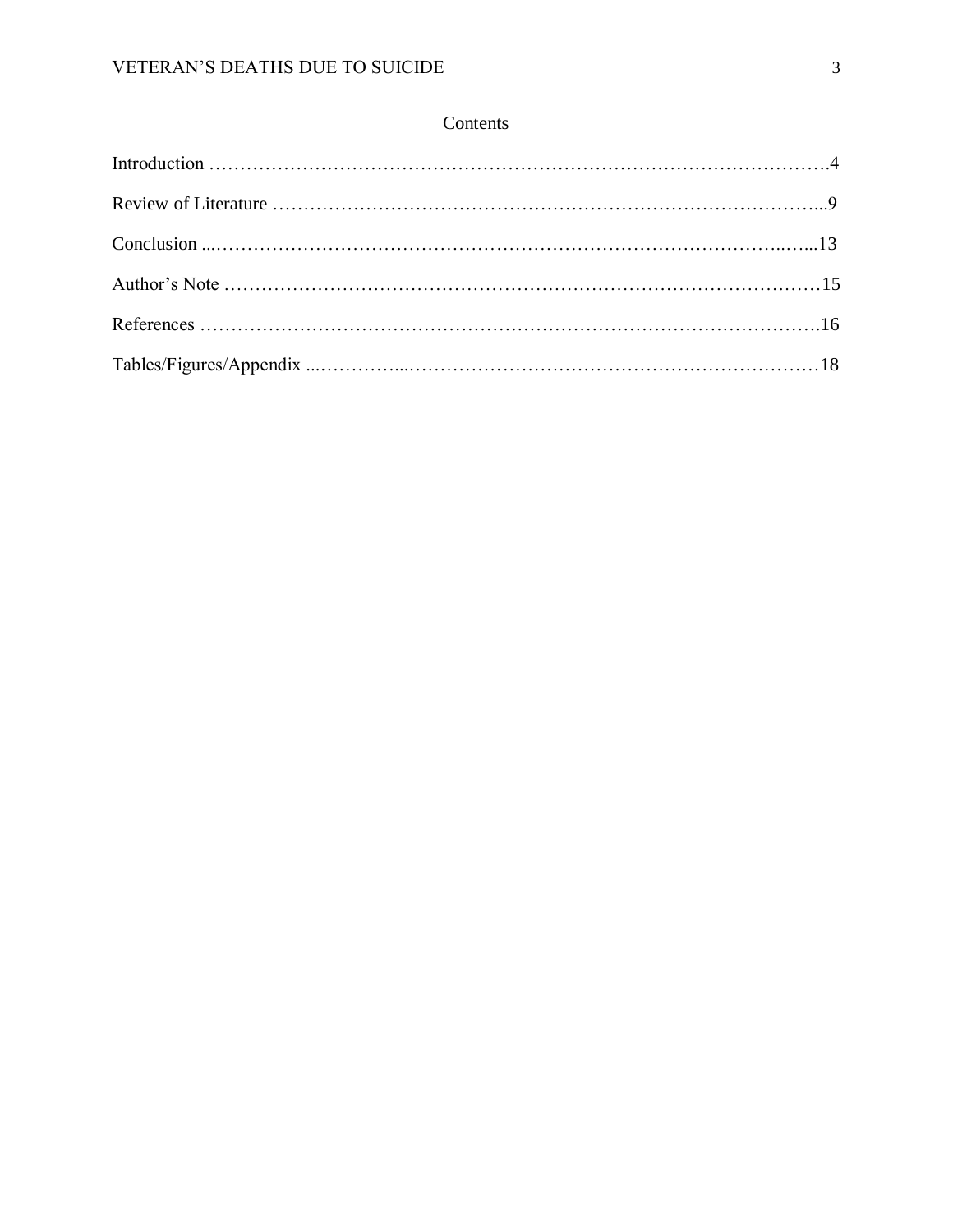# Contents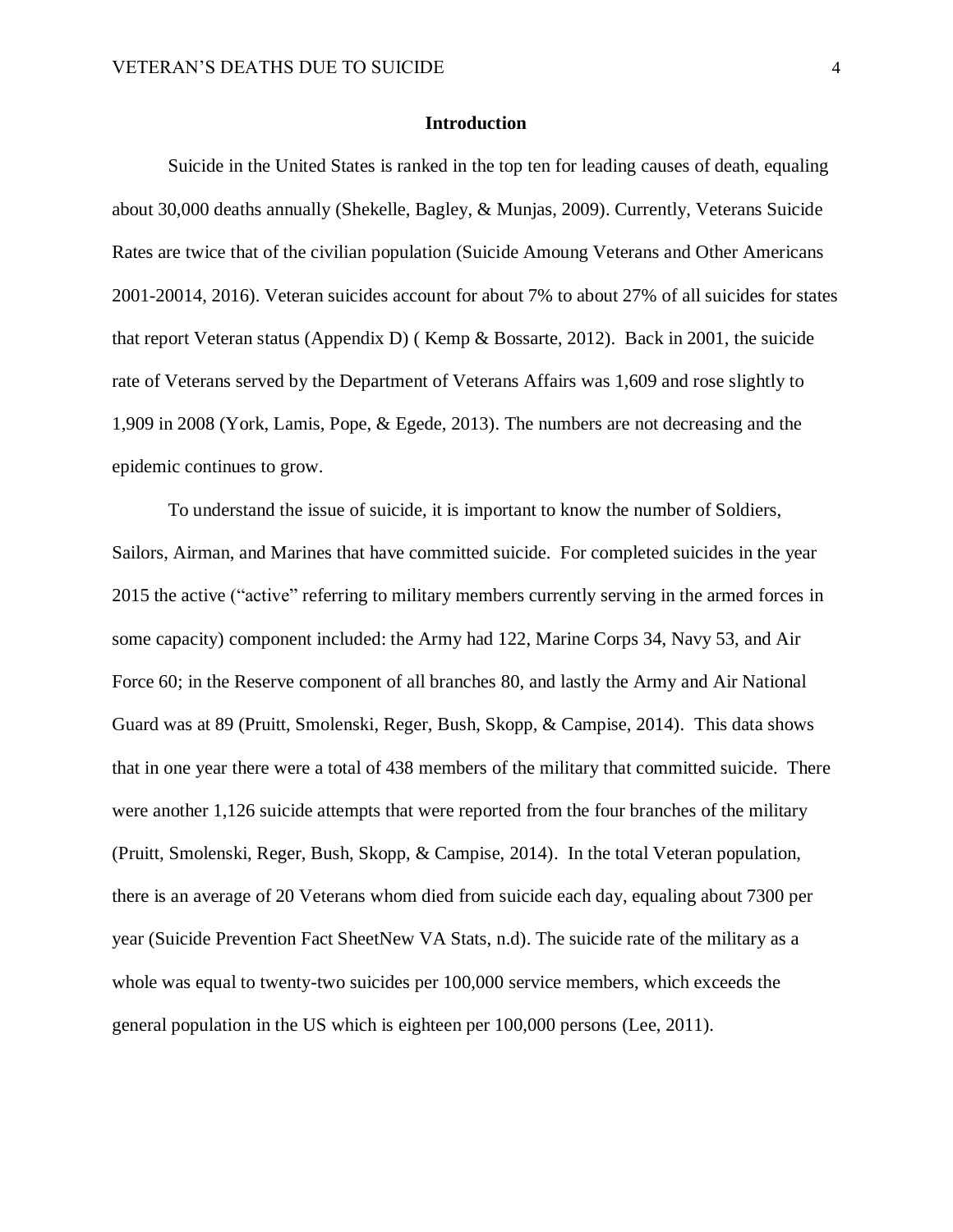#### **Introduction**

Suicide in the United States is ranked in the top ten for leading causes of death, equaling about 30,000 deaths annually (Shekelle, Bagley, & Munjas, 2009). Currently, Veterans Suicide Rates are twice that of the civilian population (Suicide Amoung Veterans and Other Americans 2001-20014, 2016). Veteran suicides account for about 7% to about 27% of all suicides for states that report Veteran status (Appendix D) ( Kemp & Bossarte, 2012). Back in 2001, the suicide rate of Veterans served by the Department of Veterans Affairs was 1,609 and rose slightly to 1,909 in 2008 (York, Lamis, Pope, & Egede, 2013). The numbers are not decreasing and the epidemic continues to grow.

To understand the issue of suicide, it is important to know the number of Soldiers, Sailors, Airman, and Marines that have committed suicide. For completed suicides in the year 2015 the active ("active" referring to military members currently serving in the armed forces in some capacity) component included: the Army had 122, Marine Corps 34, Navy 53, and Air Force 60; in the Reserve component of all branches 80, and lastly the Army and Air National Guard was at 89 (Pruitt, Smolenski, Reger, Bush, Skopp, & Campise, 2014). This data shows that in one year there were a total of 438 members of the military that committed suicide. There were another 1,126 suicide attempts that were reported from the four branches of the military (Pruitt, Smolenski, Reger, Bush, Skopp, & Campise, 2014). In the total Veteran population, there is an average of 20 Veterans whom died from suicide each day, equaling about 7300 per year (Suicide Prevention Fact SheetNew VA Stats, n.d). The suicide rate of the military as a whole was equal to twenty-two suicides per 100,000 service members, which exceeds the general population in the US which is eighteen per 100,000 persons (Lee, 2011).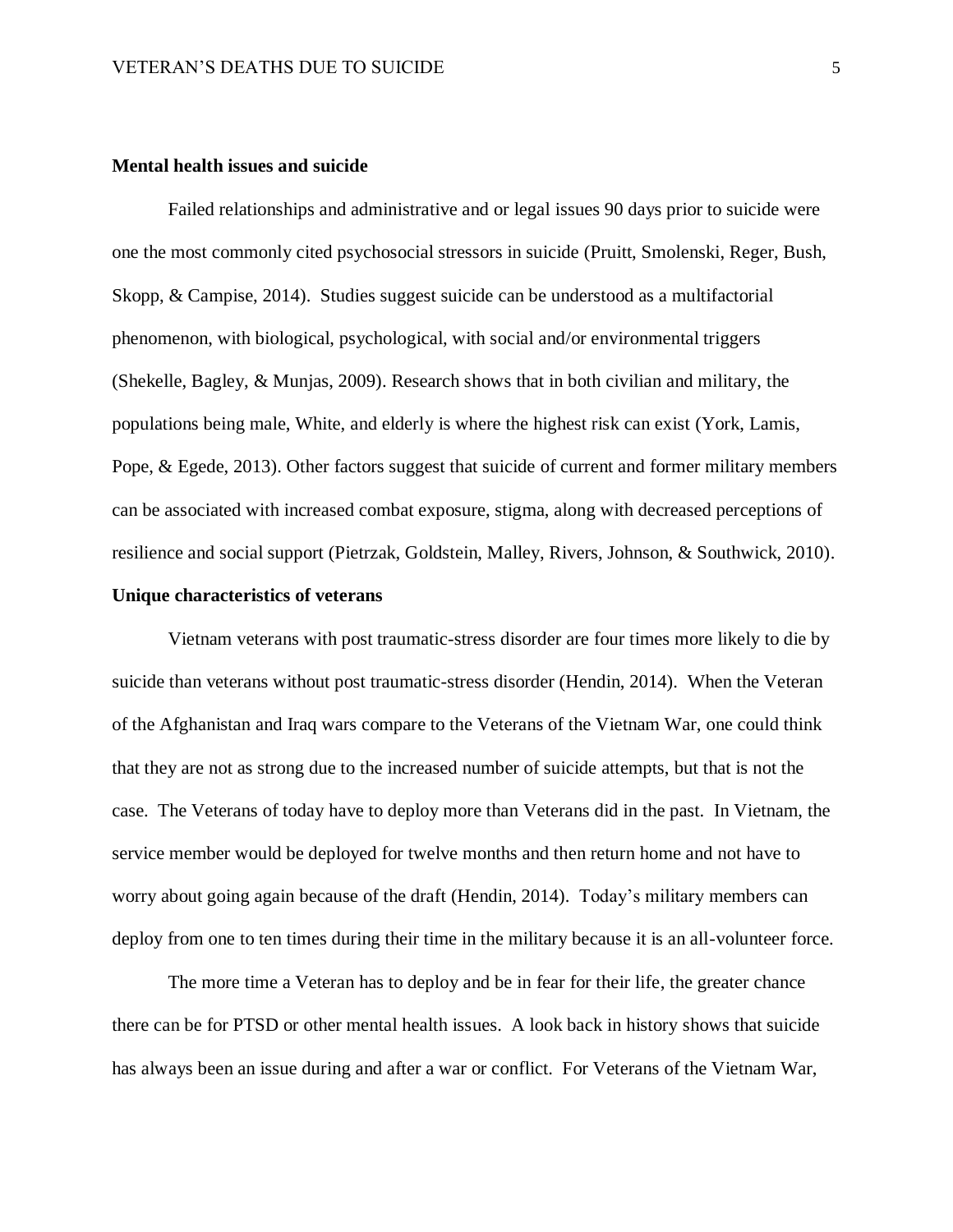# **Mental health issues and suicide**

Failed relationships and administrative and or legal issues 90 days prior to suicide were one the most commonly cited psychosocial stressors in suicide (Pruitt, Smolenski, Reger, Bush, Skopp, & Campise, 2014). Studies suggest suicide can be understood as a multifactorial phenomenon, with biological, psychological, with social and/or environmental triggers (Shekelle, Bagley, & Munjas, 2009). Research shows that in both civilian and military, the populations being male, White, and elderly is where the highest risk can exist (York, Lamis, Pope, & Egede, 2013). Other factors suggest that suicide of current and former military members can be associated with increased combat exposure, stigma, along with decreased perceptions of resilience and social support (Pietrzak, Goldstein, Malley, Rivers, Johnson, & Southwick, 2010).

# **Unique characteristics of veterans**

Vietnam veterans with post traumatic-stress disorder are four times more likely to die by suicide than veterans without post traumatic-stress disorder (Hendin, 2014). When the Veteran of the Afghanistan and Iraq wars compare to the Veterans of the Vietnam War, one could think that they are not as strong due to the increased number of suicide attempts, but that is not the case. The Veterans of today have to deploy more than Veterans did in the past. In Vietnam, the service member would be deployed for twelve months and then return home and not have to worry about going again because of the draft (Hendin, 2014). Today's military members can deploy from one to ten times during their time in the military because it is an all-volunteer force.

The more time a Veteran has to deploy and be in fear for their life, the greater chance there can be for PTSD or other mental health issues. A look back in history shows that suicide has always been an issue during and after a war or conflict. For Veterans of the Vietnam War,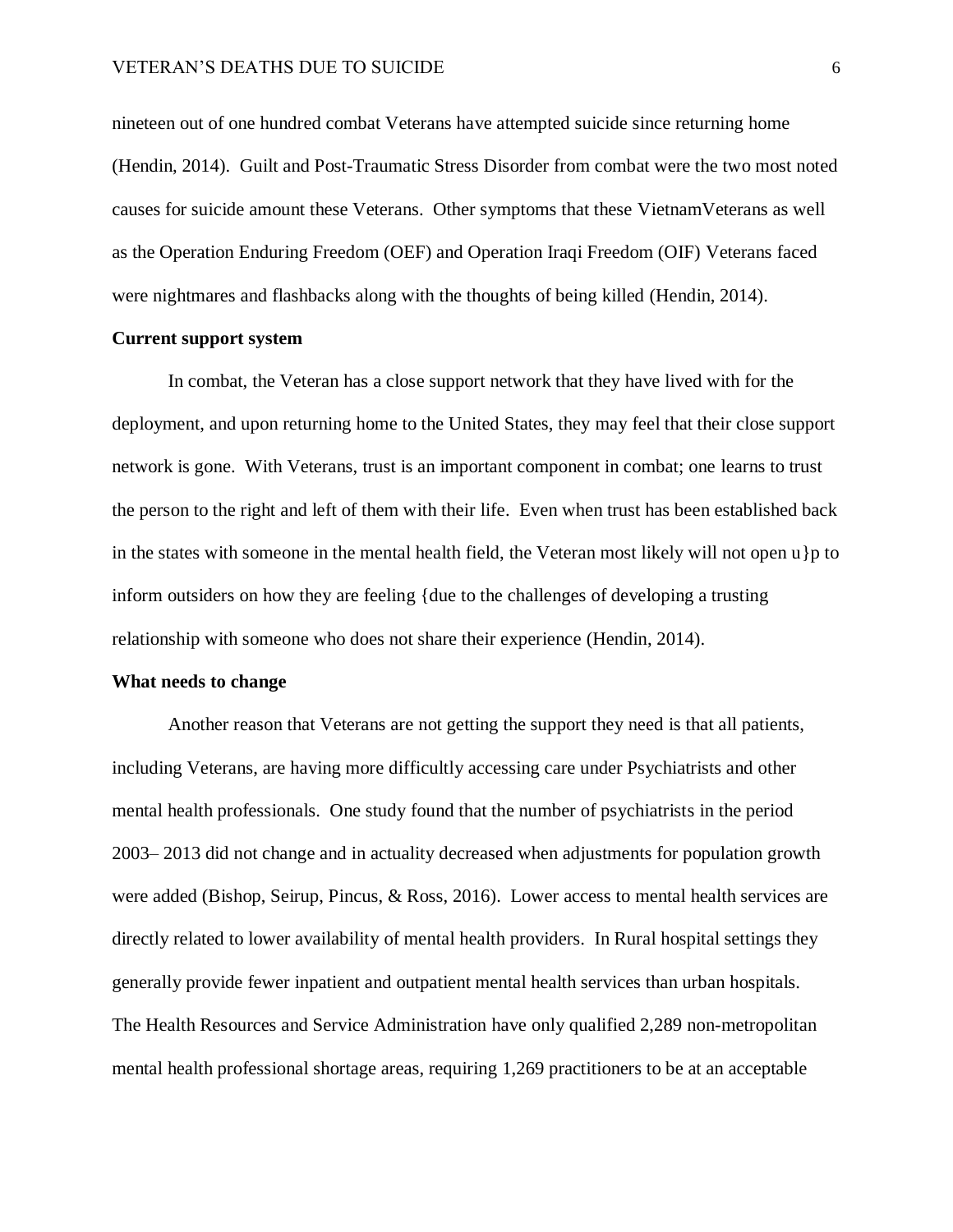## VETERAN'S DEATHS DUE TO SUICIDE 6

nineteen out of one hundred combat Veterans have attempted suicide since returning home (Hendin, 2014). Guilt and Post-Traumatic Stress Disorder from combat were the two most noted causes for suicide amount these Veterans. Other symptoms that these VietnamVeterans as well as the Operation Enduring Freedom (OEF) and Operation Iraqi Freedom (OIF) Veterans faced were nightmares and flashbacks along with the thoughts of being killed (Hendin, 2014).

## **Current support system**

In combat, the Veteran has a close support network that they have lived with for the deployment, and upon returning home to the United States, they may feel that their close support network is gone. With Veterans, trust is an important component in combat; one learns to trust the person to the right and left of them with their life. Even when trust has been established back in the states with someone in the mental health field, the Veteran most likely will not open u}p to inform outsiders on how they are feeling {due to the challenges of developing a trusting relationship with someone who does not share their experience (Hendin, 2014).

#### **What needs to change**

Another reason that Veterans are not getting the support they need is that all patients, including Veterans, are having more difficultly accessing care under Psychiatrists and other mental health professionals. One study found that the number of psychiatrists in the period 2003– 2013 did not change and in actuality decreased when adjustments for population growth were added (Bishop, Seirup, Pincus, & Ross, 2016). Lower access to mental health services are directly related to lower availability of mental health providers. In Rural hospital settings they generally provide fewer inpatient and outpatient mental health services than urban hospitals. The Health Resources and Service Administration have only qualified 2,289 non-metropolitan mental health professional shortage areas, requiring 1,269 practitioners to be at an acceptable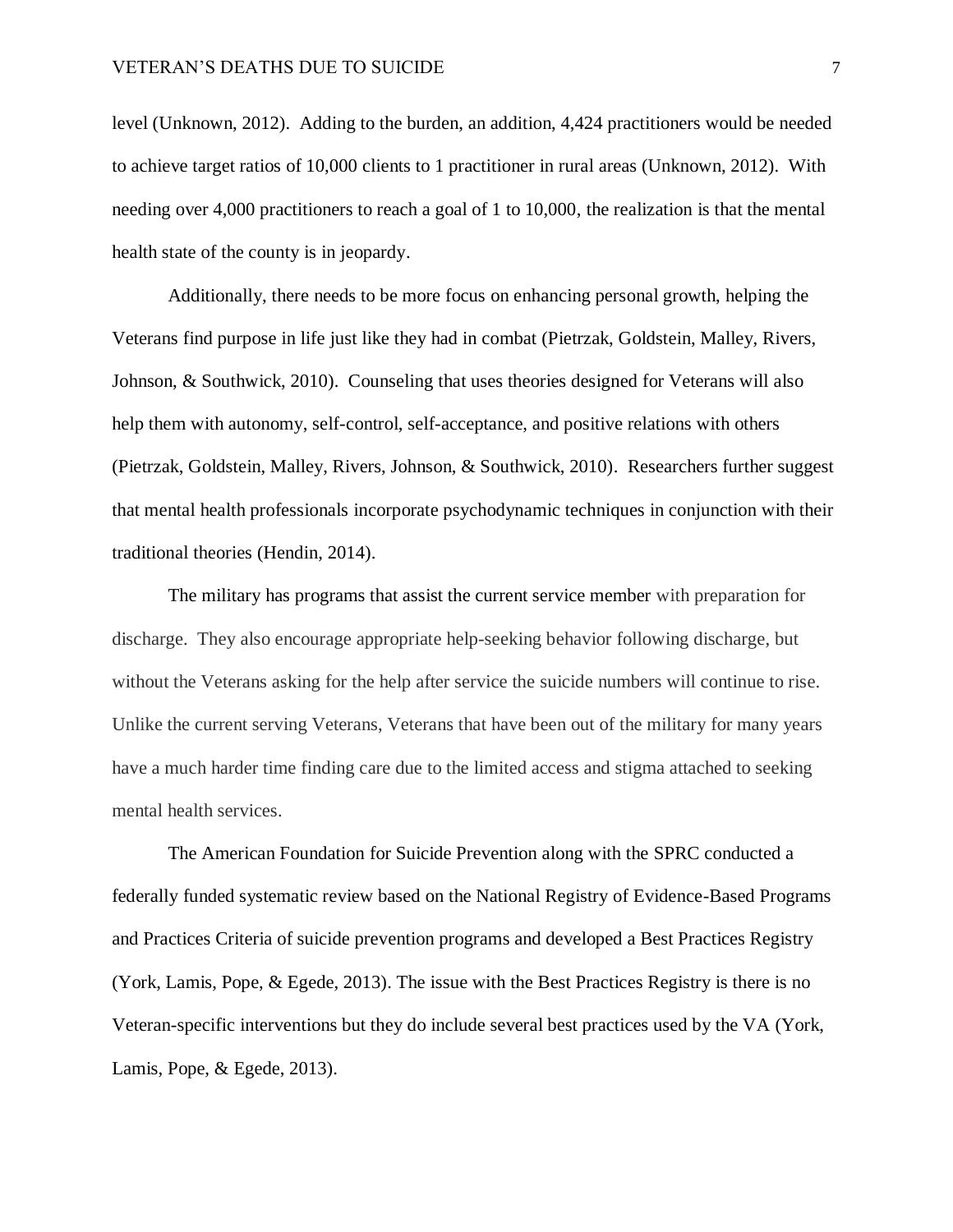level (Unknown, 2012). Adding to the burden, an addition, 4,424 practitioners would be needed to achieve target ratios of 10,000 clients to 1 practitioner in rural areas (Unknown, 2012). With needing over 4,000 practitioners to reach a goal of 1 to 10,000, the realization is that the mental health state of the county is in jeopardy.

Additionally, there needs to be more focus on enhancing personal growth, helping the Veterans find purpose in life just like they had in combat (Pietrzak, Goldstein, Malley, Rivers, Johnson, & Southwick, 2010). Counseling that uses theories designed for Veterans will also help them with autonomy, self-control, self-acceptance, and positive relations with others (Pietrzak, Goldstein, Malley, Rivers, Johnson, & Southwick, 2010). Researchers further suggest that mental health professionals incorporate psychodynamic techniques in conjunction with their traditional theories (Hendin, 2014).

The military has programs that assist the current service member with preparation for discharge. They also encourage appropriate help-seeking behavior following discharge, but without the Veterans asking for the help after service the suicide numbers will continue to rise. Unlike the current serving Veterans, Veterans that have been out of the military for many years have a much harder time finding care due to the limited access and stigma attached to seeking mental health services.

The American Foundation for Suicide Prevention along with the SPRC conducted a federally funded systematic review based on the National Registry of Evidence-Based Programs and Practices Criteria of suicide prevention programs and developed a Best Practices Registry (York, Lamis, Pope, & Egede, 2013). The issue with the Best Practices Registry is there is no Veteran-specific interventions but they do include several best practices used by the VA (York, Lamis, Pope, & Egede, 2013).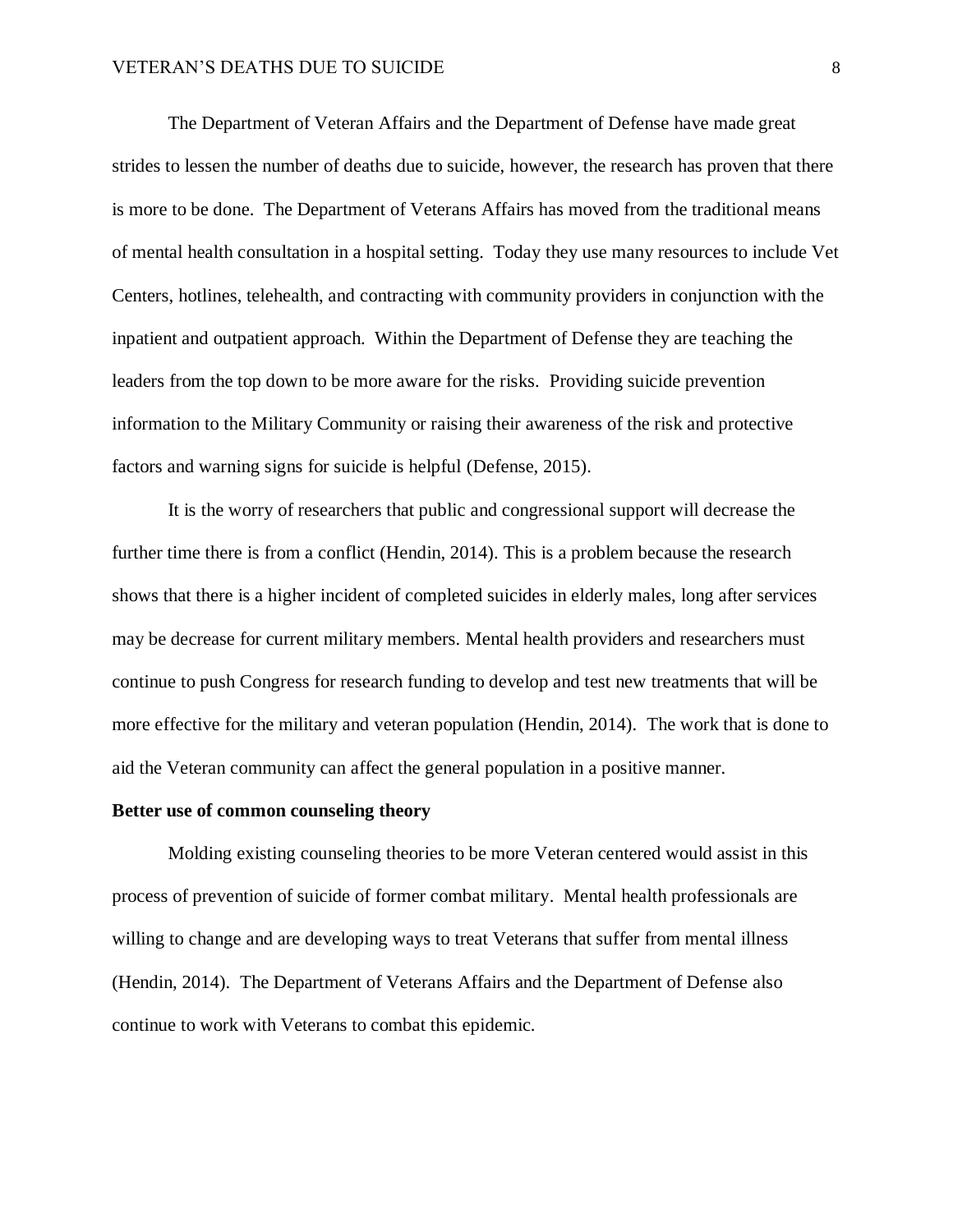The Department of Veteran Affairs and the Department of Defense have made great strides to lessen the number of deaths due to suicide, however, the research has proven that there is more to be done. The Department of Veterans Affairs has moved from the traditional means of mental health consultation in a hospital setting. Today they use many resources to include Vet Centers, hotlines, telehealth, and contracting with community providers in conjunction with the inpatient and outpatient approach. Within the Department of Defense they are teaching the leaders from the top down to be more aware for the risks. Providing suicide prevention information to the Military Community or raising their awareness of the risk and protective factors and warning signs for suicide is helpful (Defense, 2015).

It is the worry of researchers that public and congressional support will decrease the further time there is from a conflict (Hendin, 2014). This is a problem because the research shows that there is a higher incident of completed suicides in elderly males, long after services may be decrease for current military members. Mental health providers and researchers must continue to push Congress for research funding to develop and test new treatments that will be more effective for the military and veteran population (Hendin, 2014). The work that is done to aid the Veteran community can affect the general population in a positive manner.

#### **Better use of common counseling theory**

Molding existing counseling theories to be more Veteran centered would assist in this process of prevention of suicide of former combat military. Mental health professionals are willing to change and are developing ways to treat Veterans that suffer from mental illness (Hendin, 2014). The Department of Veterans Affairs and the Department of Defense also continue to work with Veterans to combat this epidemic.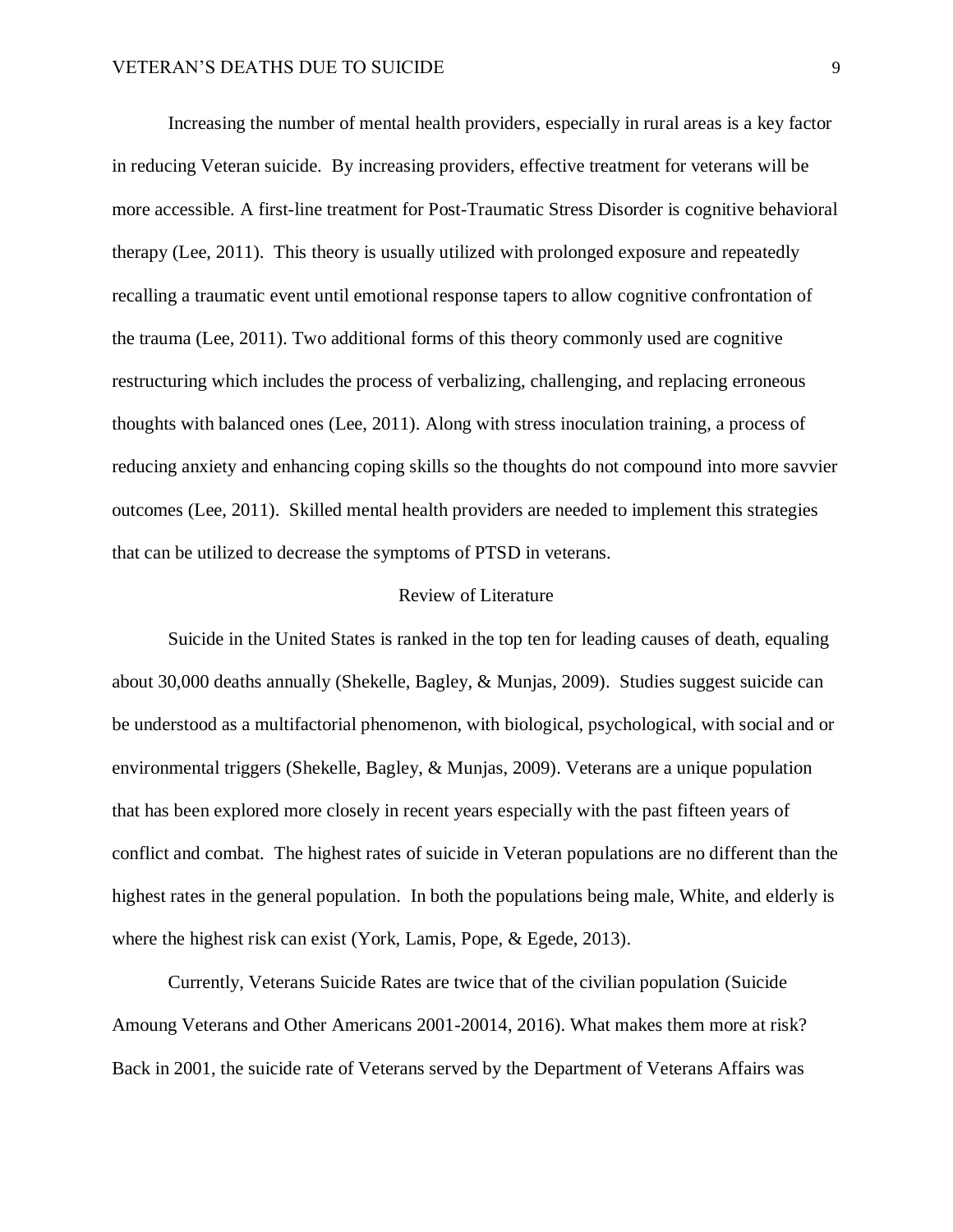Increasing the number of mental health providers, especially in rural areas is a key factor in reducing Veteran suicide. By increasing providers, effective treatment for veterans will be more accessible. A first-line treatment for Post-Traumatic Stress Disorder is cognitive behavioral therapy (Lee, 2011). This theory is usually utilized with prolonged exposure and repeatedly recalling a traumatic event until emotional response tapers to allow cognitive confrontation of the trauma (Lee, 2011). Two additional forms of this theory commonly used are cognitive restructuring which includes the process of verbalizing, challenging, and replacing erroneous thoughts with balanced ones (Lee, 2011). Along with stress inoculation training, a process of reducing anxiety and enhancing coping skills so the thoughts do not compound into more savvier outcomes (Lee, 2011). Skilled mental health providers are needed to implement this strategies that can be utilized to decrease the symptoms of PTSD in veterans.

#### Review of Literature

Suicide in the United States is ranked in the top ten for leading causes of death, equaling about 30,000 deaths annually (Shekelle, Bagley, & Munjas, 2009). Studies suggest suicide can be understood as a multifactorial phenomenon, with biological, psychological, with social and or environmental triggers (Shekelle, Bagley, & Munjas, 2009). Veterans are a unique population that has been explored more closely in recent years especially with the past fifteen years of conflict and combat. The highest rates of suicide in Veteran populations are no different than the highest rates in the general population. In both the populations being male, White, and elderly is where the highest risk can exist (York, Lamis, Pope, & Egede, 2013).

Currently, Veterans Suicide Rates are twice that of the civilian population (Suicide Amoung Veterans and Other Americans 2001-20014, 2016). What makes them more at risk? Back in 2001, the suicide rate of Veterans served by the Department of Veterans Affairs was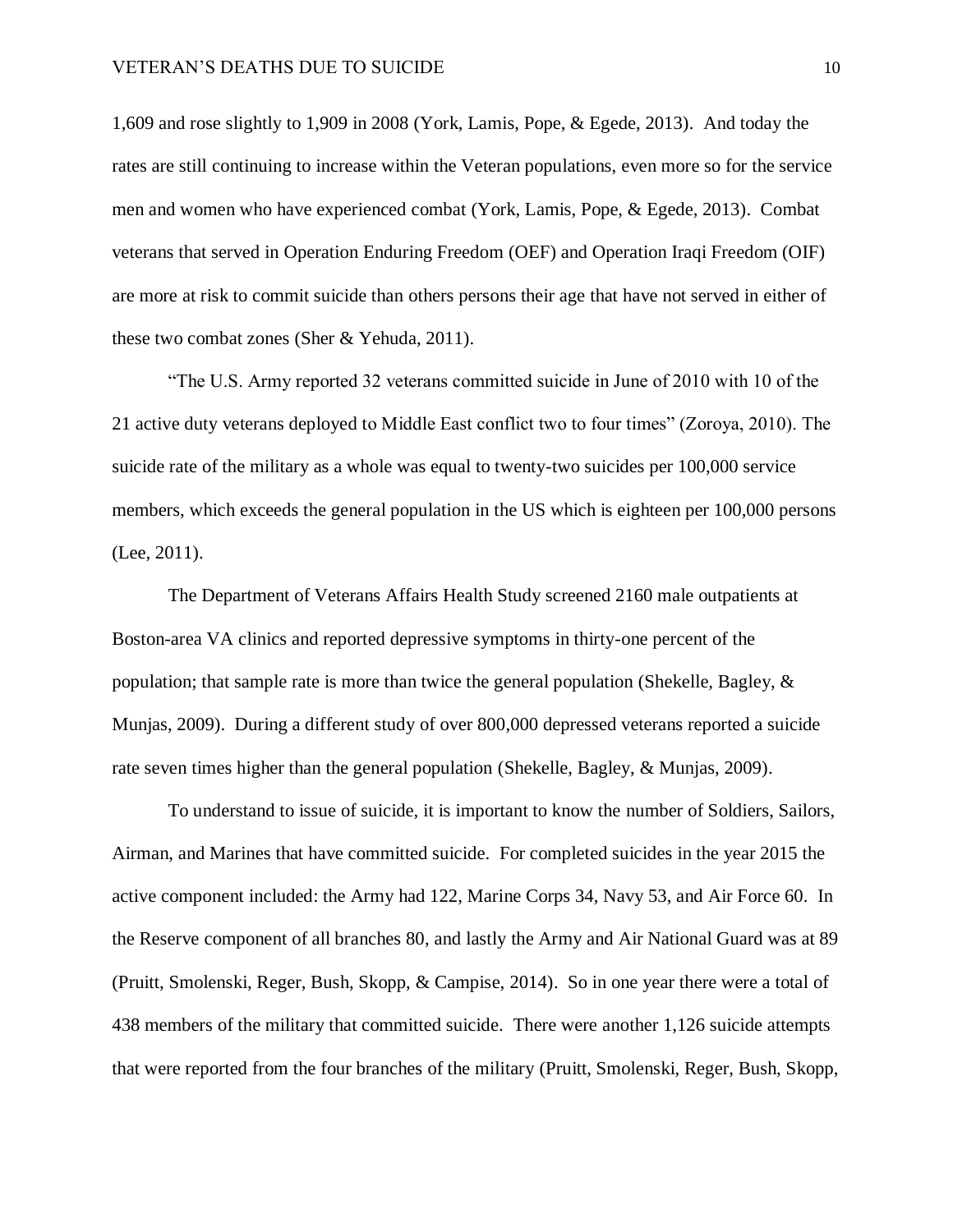1,609 and rose slightly to 1,909 in 2008 (York, Lamis, Pope, & Egede, 2013). And today the rates are still continuing to increase within the Veteran populations, even more so for the service men and women who have experienced combat (York, Lamis, Pope, & Egede, 2013). Combat veterans that served in Operation Enduring Freedom (OEF) and Operation Iraqi Freedom (OIF) are more at risk to commit suicide than others persons their age that have not served in either of these two combat zones (Sher & Yehuda, 2011).

"The U.S. Army reported 32 veterans committed suicide in June of 2010 with 10 of the 21 active duty veterans deployed to Middle East conflict two to four times" (Zoroya, 2010). The suicide rate of the military as a whole was equal to twenty-two suicides per 100,000 service members, which exceeds the general population in the US which is eighteen per 100,000 persons (Lee, 2011).

The Department of Veterans Affairs Health Study screened 2160 male outpatients at Boston-area VA clinics and reported depressive symptoms in thirty-one percent of the population; that sample rate is more than twice the general population (Shekelle, Bagley, & Munjas, 2009). During a different study of over 800,000 depressed veterans reported a suicide rate seven times higher than the general population (Shekelle, Bagley, & Munjas, 2009).

To understand to issue of suicide, it is important to know the number of Soldiers, Sailors, Airman, and Marines that have committed suicide. For completed suicides in the year 2015 the active component included: the Army had 122, Marine Corps 34, Navy 53, and Air Force 60. In the Reserve component of all branches 80, and lastly the Army and Air National Guard was at 89 (Pruitt, Smolenski, Reger, Bush, Skopp, & Campise, 2014). So in one year there were a total of 438 members of the military that committed suicide. There were another 1,126 suicide attempts that were reported from the four branches of the military (Pruitt, Smolenski, Reger, Bush, Skopp,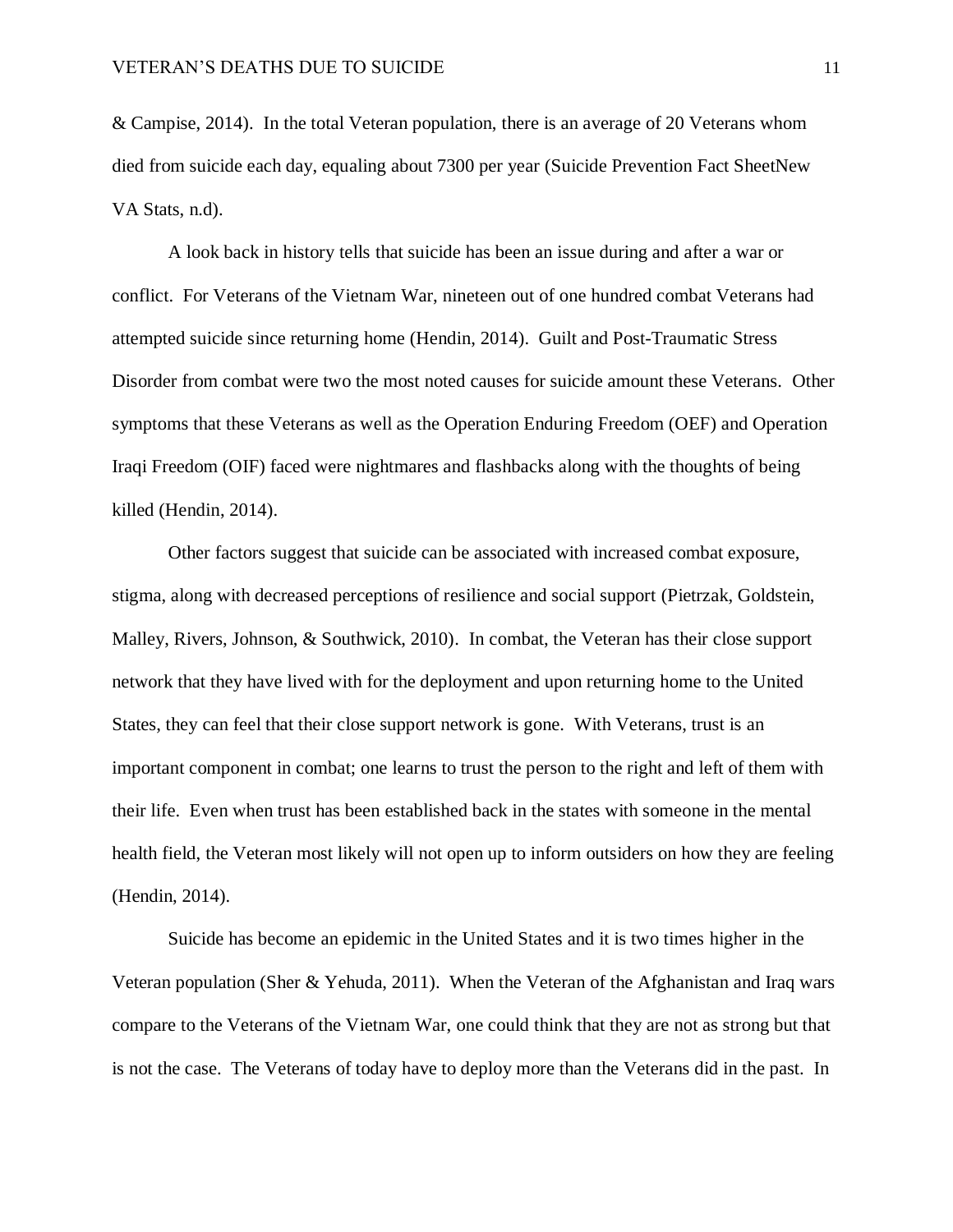& Campise, 2014). In the total Veteran population, there is an average of 20 Veterans whom died from suicide each day, equaling about 7300 per year (Suicide Prevention Fact SheetNew VA Stats, n.d).

A look back in history tells that suicide has been an issue during and after a war or conflict. For Veterans of the Vietnam War, nineteen out of one hundred combat Veterans had attempted suicide since returning home (Hendin, 2014). Guilt and Post-Traumatic Stress Disorder from combat were two the most noted causes for suicide amount these Veterans. Other symptoms that these Veterans as well as the Operation Enduring Freedom (OEF) and Operation Iraqi Freedom (OIF) faced were nightmares and flashbacks along with the thoughts of being killed (Hendin, 2014).

Other factors suggest that suicide can be associated with increased combat exposure, stigma, along with decreased perceptions of resilience and social support (Pietrzak, Goldstein, Malley, Rivers, Johnson, & Southwick, 2010). In combat, the Veteran has their close support network that they have lived with for the deployment and upon returning home to the United States, they can feel that their close support network is gone. With Veterans, trust is an important component in combat; one learns to trust the person to the right and left of them with their life. Even when trust has been established back in the states with someone in the mental health field, the Veteran most likely will not open up to inform outsiders on how they are feeling (Hendin, 2014).

Suicide has become an epidemic in the United States and it is two times higher in the Veteran population (Sher & Yehuda, 2011). When the Veteran of the Afghanistan and Iraq wars compare to the Veterans of the Vietnam War, one could think that they are not as strong but that is not the case. The Veterans of today have to deploy more than the Veterans did in the past. In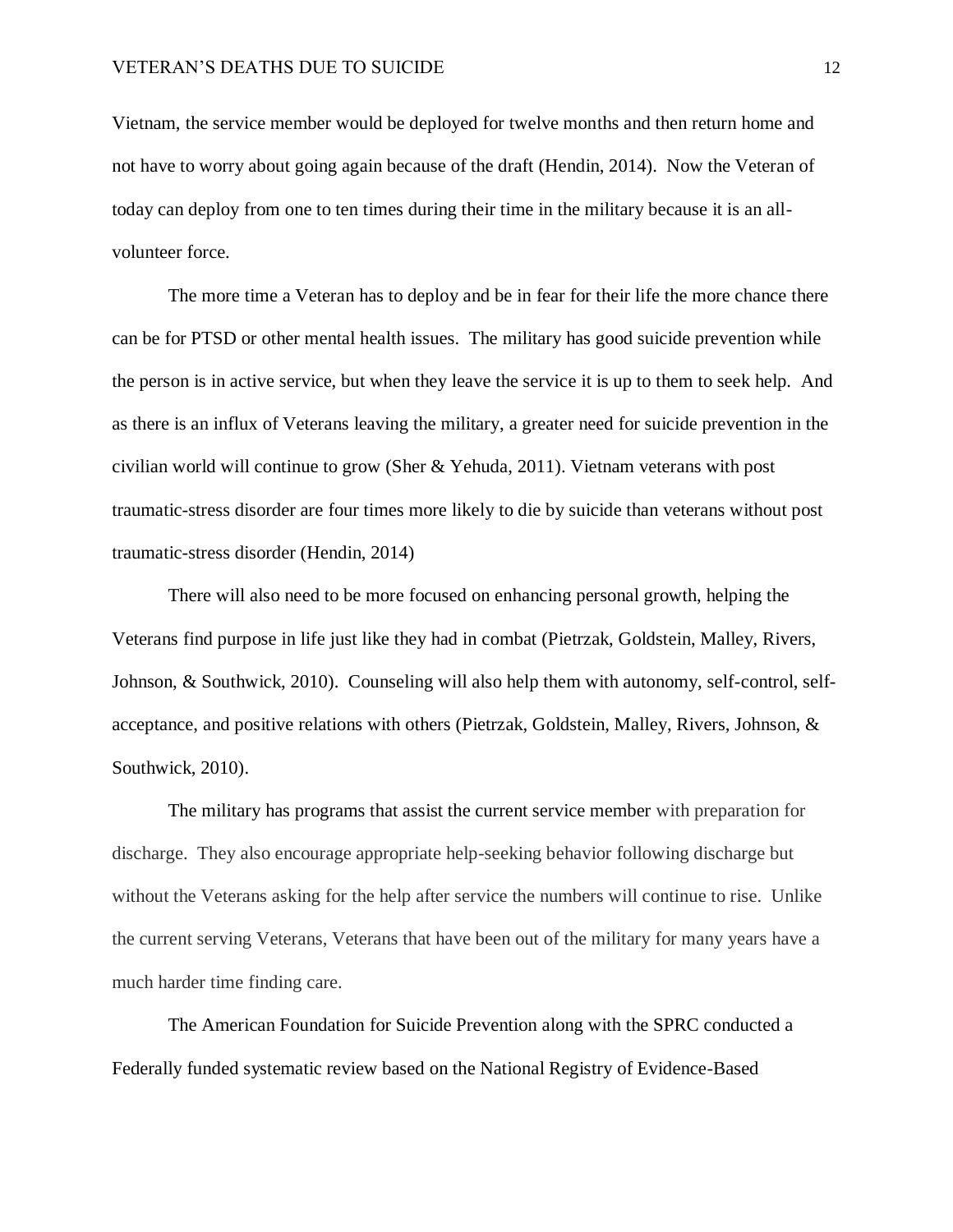Vietnam, the service member would be deployed for twelve months and then return home and not have to worry about going again because of the draft (Hendin, 2014). Now the Veteran of today can deploy from one to ten times during their time in the military because it is an allvolunteer force.

The more time a Veteran has to deploy and be in fear for their life the more chance there can be for PTSD or other mental health issues. The military has good suicide prevention while the person is in active service, but when they leave the service it is up to them to seek help. And as there is an influx of Veterans leaving the military, a greater need for suicide prevention in the civilian world will continue to grow (Sher & Yehuda, 2011). Vietnam veterans with post traumatic-stress disorder are four times more likely to die by suicide than veterans without post traumatic-stress disorder (Hendin, 2014)

There will also need to be more focused on enhancing personal growth, helping the Veterans find purpose in life just like they had in combat (Pietrzak, Goldstein, Malley, Rivers, Johnson, & Southwick, 2010). Counseling will also help them with autonomy, self-control, selfacceptance, and positive relations with others (Pietrzak, Goldstein, Malley, Rivers, Johnson, & Southwick, 2010).

The military has programs that assist the current service member with preparation for discharge. They also encourage appropriate help-seeking behavior following discharge but without the Veterans asking for the help after service the numbers will continue to rise. Unlike the current serving Veterans, Veterans that have been out of the military for many years have a much harder time finding care.

The American Foundation for Suicide Prevention along with the SPRC conducted a Federally funded systematic review based on the National Registry of Evidence-Based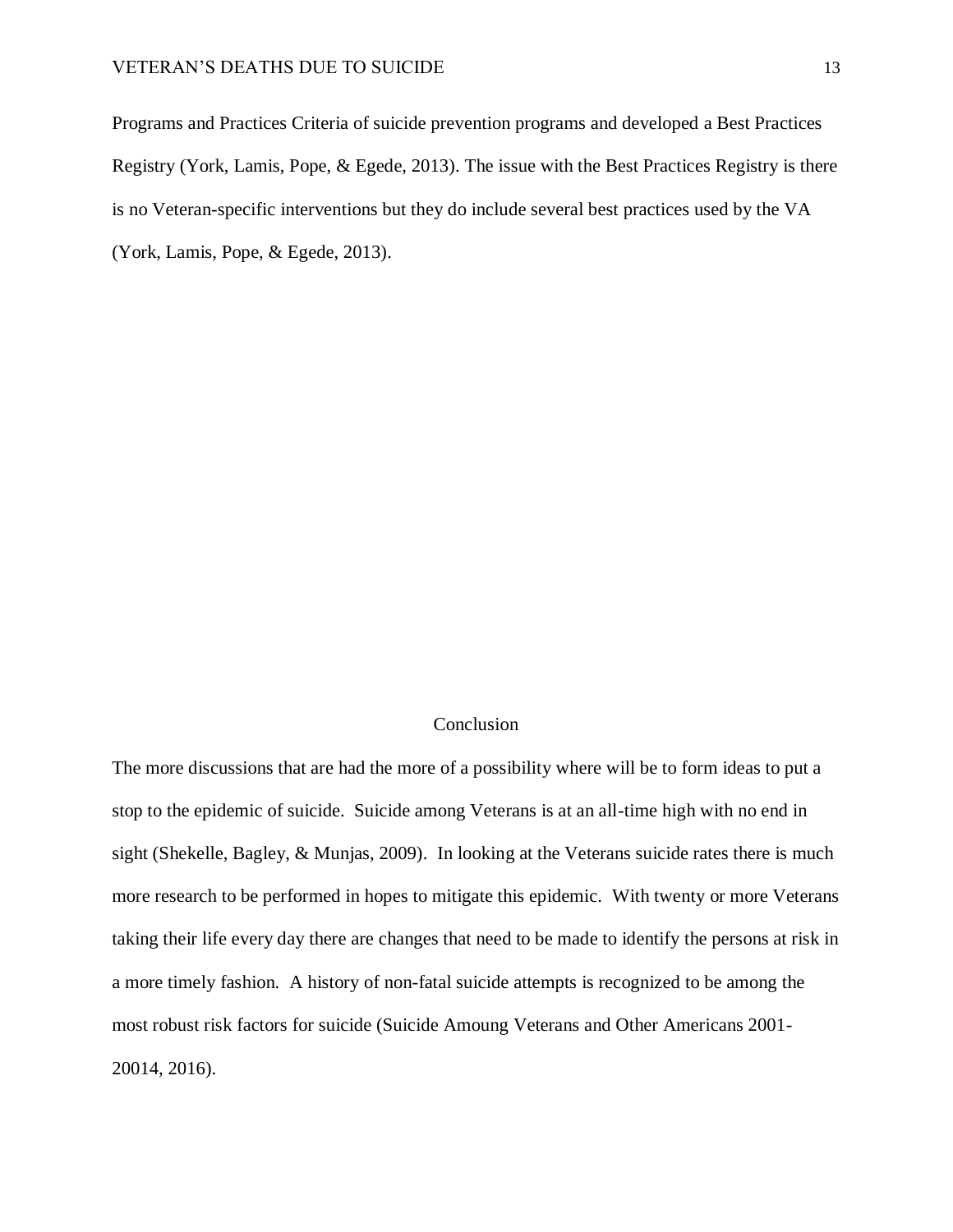Programs and Practices Criteria of suicide prevention programs and developed a Best Practices Registry (York, Lamis, Pope, & Egede, 2013). The issue with the Best Practices Registry is there is no Veteran-specific interventions but they do include several best practices used by the VA (York, Lamis, Pope, & Egede, 2013).

## Conclusion

The more discussions that are had the more of a possibility where will be to form ideas to put a stop to the epidemic of suicide. Suicide among Veterans is at an all-time high with no end in sight (Shekelle, Bagley, & Munjas, 2009). In looking at the Veterans suicide rates there is much more research to be performed in hopes to mitigate this epidemic. With twenty or more Veterans taking their life every day there are changes that need to be made to identify the persons at risk in a more timely fashion. A history of non-fatal suicide attempts is recognized to be among the most robust risk factors for suicide (Suicide Amoung Veterans and Other Americans 2001- 20014, 2016).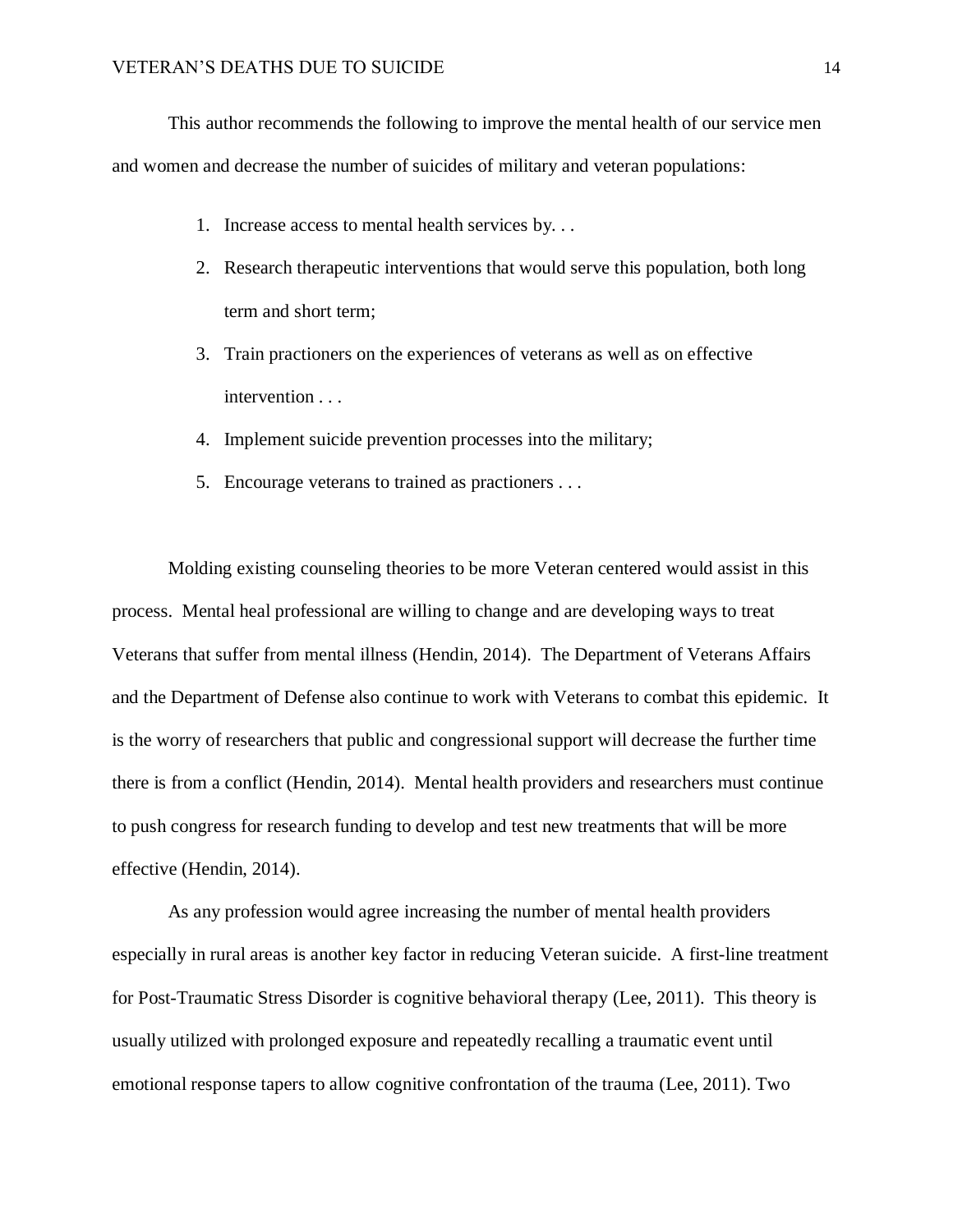This author recommends the following to improve the mental health of our service men and women and decrease the number of suicides of military and veteran populations:

- 1. Increase access to mental health services by. . .
- 2. Research therapeutic interventions that would serve this population, both long term and short term;
- 3. Train practioners on the experiences of veterans as well as on effective intervention . . .
- 4. Implement suicide prevention processes into the military;
- 5. Encourage veterans to trained as practioners . . .

Molding existing counseling theories to be more Veteran centered would assist in this process. Mental heal professional are willing to change and are developing ways to treat Veterans that suffer from mental illness (Hendin, 2014). The Department of Veterans Affairs and the Department of Defense also continue to work with Veterans to combat this epidemic. It is the worry of researchers that public and congressional support will decrease the further time there is from a conflict (Hendin, 2014). Mental health providers and researchers must continue to push congress for research funding to develop and test new treatments that will be more effective (Hendin, 2014).

As any profession would agree increasing the number of mental health providers especially in rural areas is another key factor in reducing Veteran suicide. A first-line treatment for Post-Traumatic Stress Disorder is cognitive behavioral therapy (Lee, 2011). This theory is usually utilized with prolonged exposure and repeatedly recalling a traumatic event until emotional response tapers to allow cognitive confrontation of the trauma (Lee, 2011). Two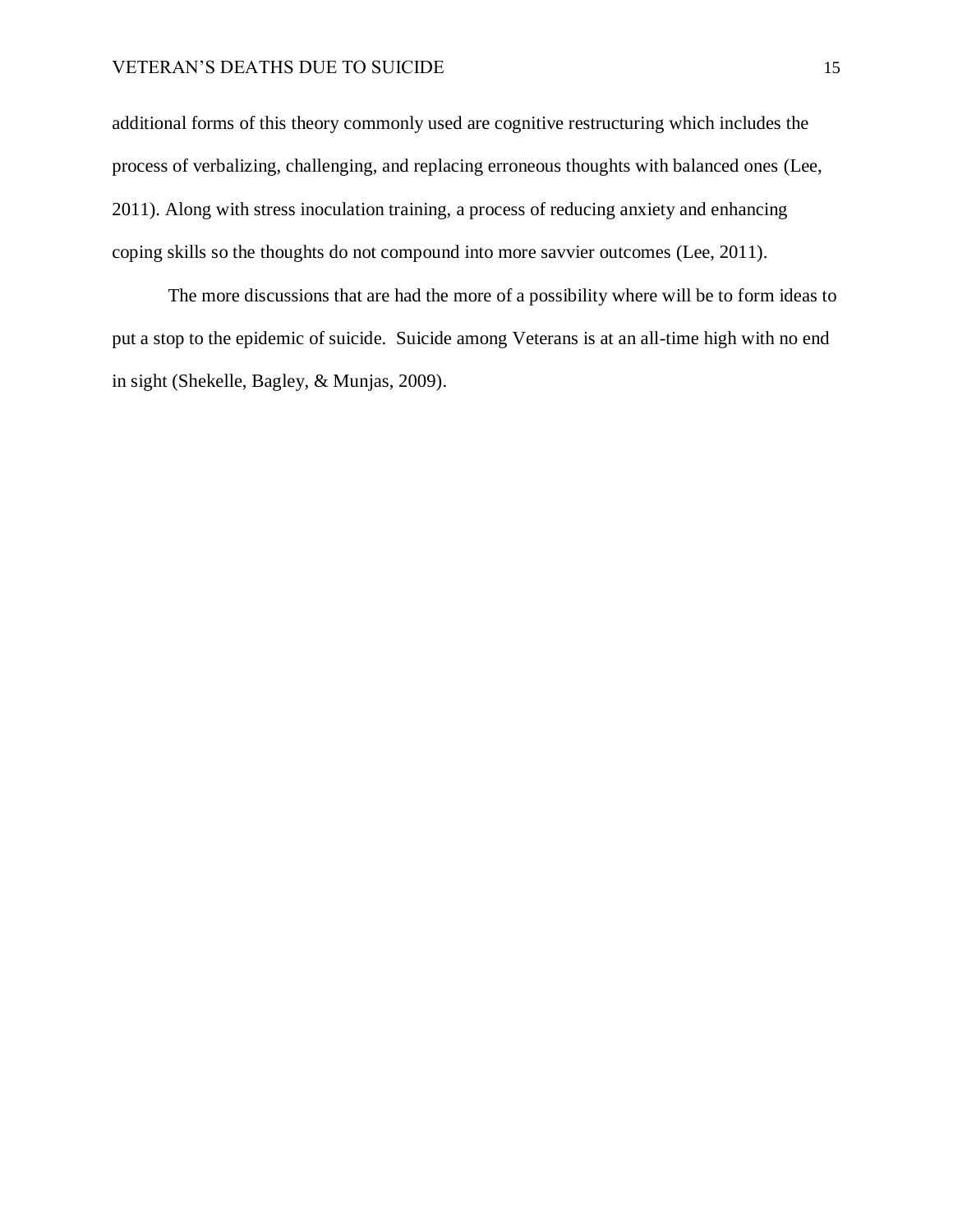# VETERAN'S DEATHS DUE TO SUICIDE 15

additional forms of this theory commonly used are cognitive restructuring which includes the process of verbalizing, challenging, and replacing erroneous thoughts with balanced ones (Lee, 2011). Along with stress inoculation training, a process of reducing anxiety and enhancing coping skills so the thoughts do not compound into more savvier outcomes (Lee, 2011).

The more discussions that are had the more of a possibility where will be to form ideas to put a stop to the epidemic of suicide. Suicide among Veterans is at an all-time high with no end in sight (Shekelle, Bagley, & Munjas, 2009).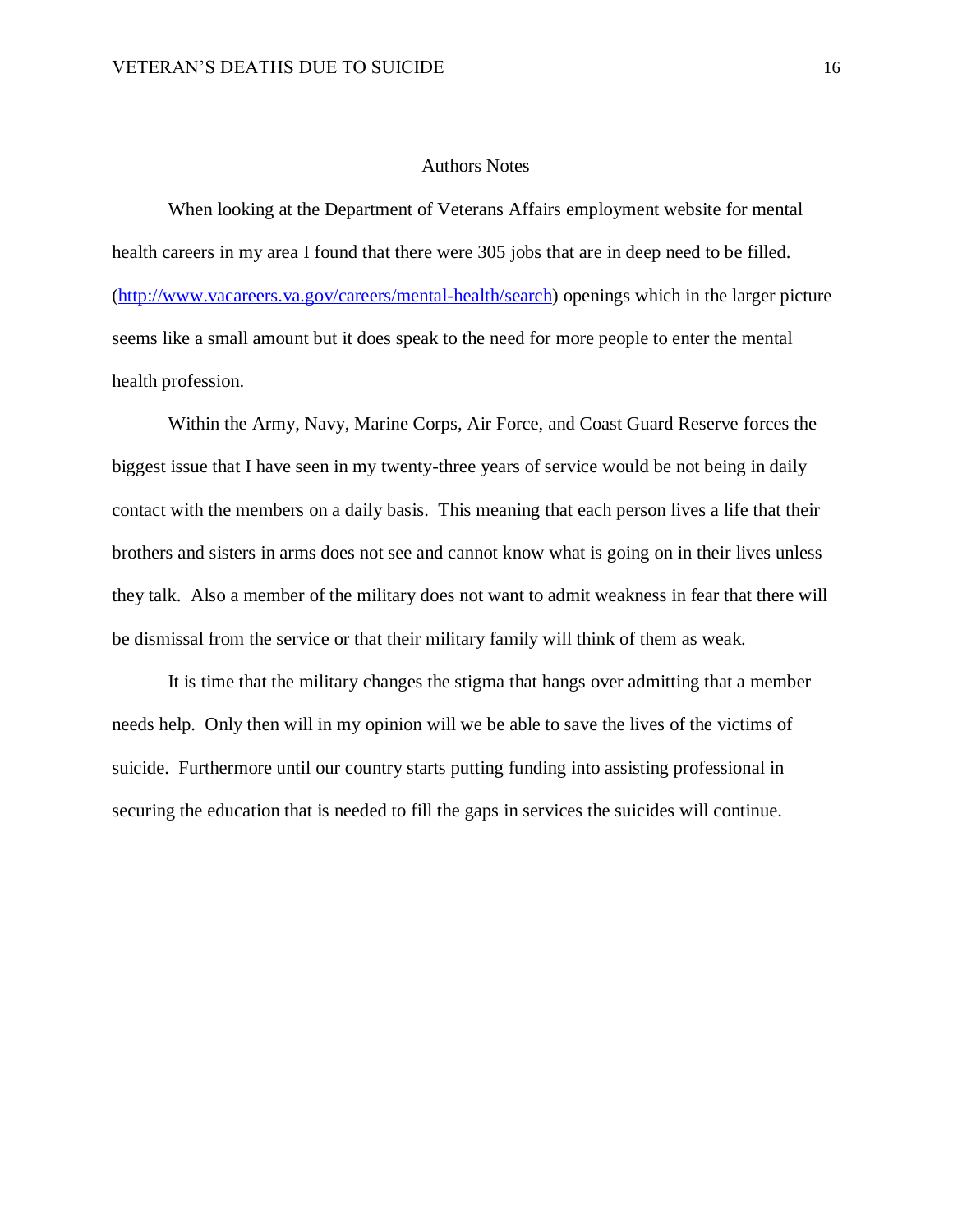#### Authors Notes

When looking at the Department of Veterans Affairs employment website for mental health careers in my area I found that there were 305 jobs that are in deep need to be filled. [\(http://www.vacareers.va.gov/careers/mental-health/search\)](http://www.vacareers.va.gov/careers/mental-health/search) openings which in the larger picture seems like a small amount but it does speak to the need for more people to enter the mental health profession.

Within the Army, Navy, Marine Corps, Air Force, and Coast Guard Reserve forces the biggest issue that I have seen in my twenty-three years of service would be not being in daily contact with the members on a daily basis. This meaning that each person lives a life that their brothers and sisters in arms does not see and cannot know what is going on in their lives unless they talk. Also a member of the military does not want to admit weakness in fear that there will be dismissal from the service or that their military family will think of them as weak.

It is time that the military changes the stigma that hangs over admitting that a member needs help. Only then will in my opinion will we be able to save the lives of the victims of suicide. Furthermore until our country starts putting funding into assisting professional in securing the education that is needed to fill the gaps in services the suicides will continue.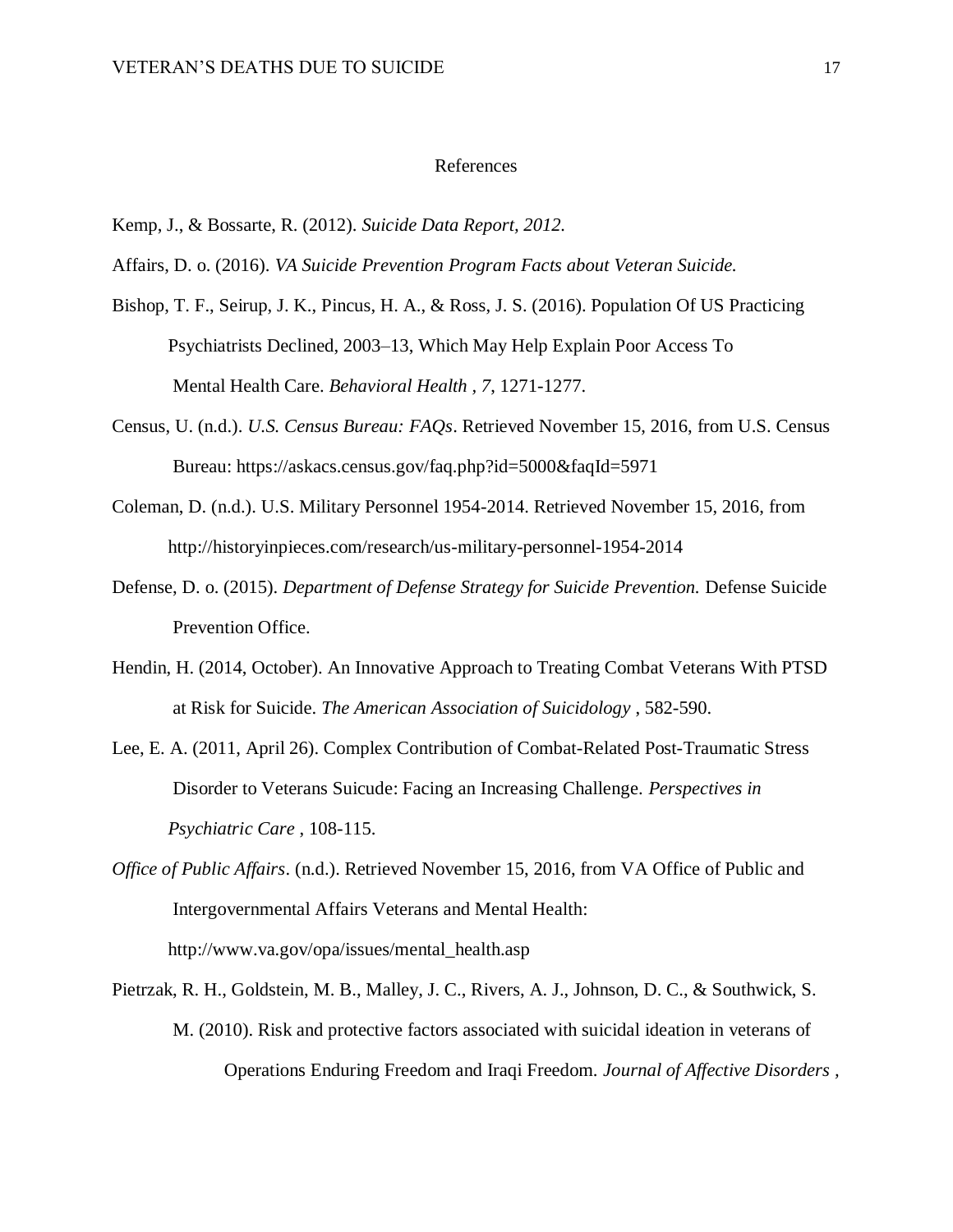#### References

- Kemp, J., & Bossarte, R. (2012). *Suicide Data Report, 2012.*
- Affairs, D. o. (2016). *VA Suicide Prevention Program Facts about Veteran Suicide.*
- Bishop, T. F., Seirup, J. K., Pincus, H. A., & Ross, J. S. (2016). Population Of US Practicing Psychiatrists Declined, 2003–13, Which May Help Explain Poor Access To Mental Health Care. *Behavioral Health , 7*, 1271-1277.
- Census, U. (n.d.). *U.S. Census Bureau: FAQs*. Retrieved November 15, 2016, from U.S. Census Bureau: https://askacs.census.gov/faq.php?id=5000&faqId=5971
- Coleman, D. (n.d.). U.S. Military Personnel 1954-2014. Retrieved November 15, 2016, from http://historyinpieces.com/research/us-military-personnel-1954-2014
- Defense, D. o. (2015). *Department of Defense Strategy for Suicide Prevention.* Defense Suicide Prevention Office.
- Hendin, H. (2014, October). An Innovative Approach to Treating Combat Veterans With PTSD at Risk for Suicide. *The American Association of Suicidology* , 582-590.
- Lee, E. A. (2011, April 26). Complex Contribution of Combat-Related Post-Traumatic Stress Disorder to Veterans Suicude: Facing an Increasing Challenge. *Perspectives in Psychiatric Care* , 108-115.
- *Office of Public Affairs*. (n.d.). Retrieved November 15, 2016, from VA Office of Public and Intergovernmental Affairs Veterans and Mental Health: http://www.va.gov/opa/issues/mental\_health.asp
- Pietrzak, R. H., Goldstein, M. B., Malley, J. C., Rivers, A. J., Johnson, D. C., & Southwick, S. M. (2010). Risk and protective factors associated with suicidal ideation in veterans of Operations Enduring Freedom and Iraqi Freedom. *Journal of Affective Disorders ,*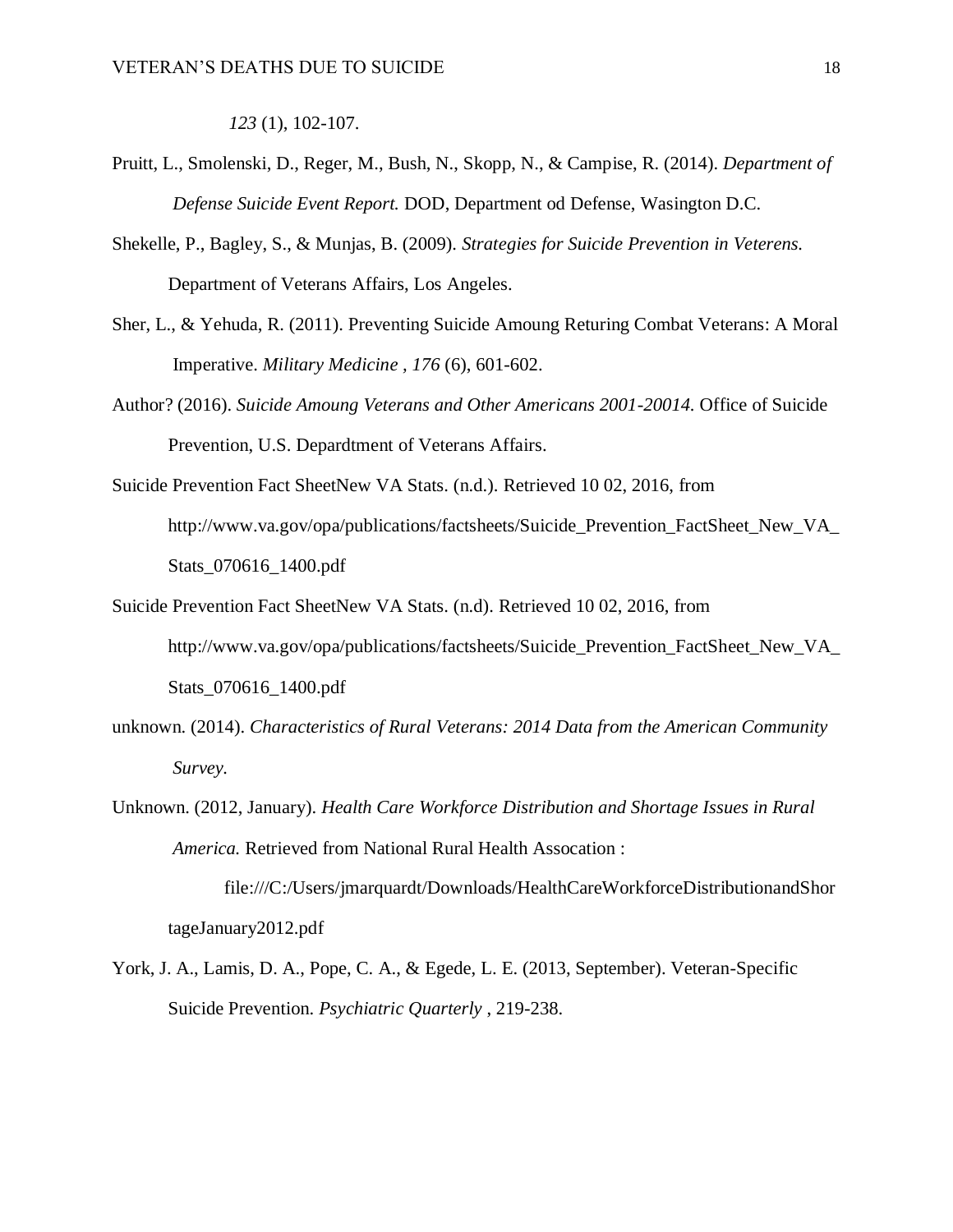*123* (1), 102-107.

- Pruitt, L., Smolenski, D., Reger, M., Bush, N., Skopp, N., & Campise, R. (2014). *Department of Defense Suicide Event Report.* DOD, Department od Defense, Wasington D.C.
- Shekelle, P., Bagley, S., & Munjas, B. (2009). *Strategies for Suicide Prevention in Veterens.* Department of Veterans Affairs, Los Angeles.
- Sher, L., & Yehuda, R. (2011). Preventing Suicide Amoung Returing Combat Veterans: A Moral Imperative. *Military Medicine , 176* (6), 601-602.
- Author? (2016). *Suicide Amoung Veterans and Other Americans 2001-20014.* Office of Suicide Prevention, U.S. Depardtment of Veterans Affairs.
- Suicide Prevention Fact SheetNew VA Stats. (n.d.). Retrieved 10 02, 2016, from http://www.va.gov/opa/publications/factsheets/Suicide\_Prevention\_FactSheet\_New\_VA Stats\_070616\_1400.pdf
- Suicide Prevention Fact SheetNew VA Stats. (n.d). Retrieved 10 02, 2016, from http://www.va.gov/opa/publications/factsheets/Suicide\_Prevention\_FactSheet\_New\_VA\_ Stats\_070616\_1400.pdf
- unknown. (2014). *Characteristics of Rural Veterans: 2014 Data from the American Community Survey.*
- Unknown. (2012, January). *Health Care Workforce Distribution and Shortage Issues in Rural America.* Retrieved from National Rural Health Assocation :

file:///C:/Users/jmarquardt/Downloads/HealthCareWorkforceDistributionandShor tageJanuary2012.pdf

York, J. A., Lamis, D. A., Pope, C. A., & Egede, L. E. (2013, September). Veteran-Specific Suicide Prevention. *Psychiatric Quarterly* , 219-238.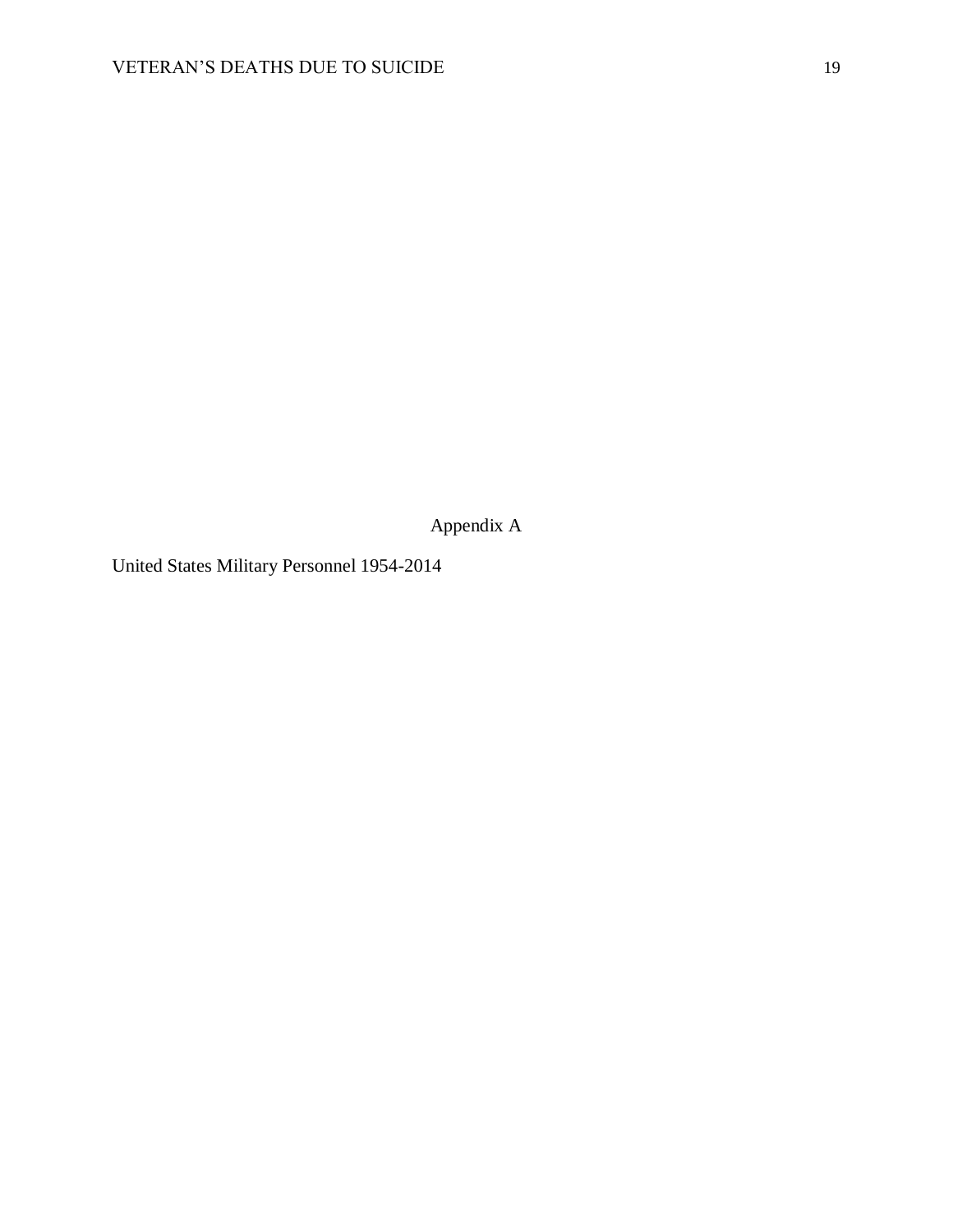Appendix A

United States Military Personnel 1954-2014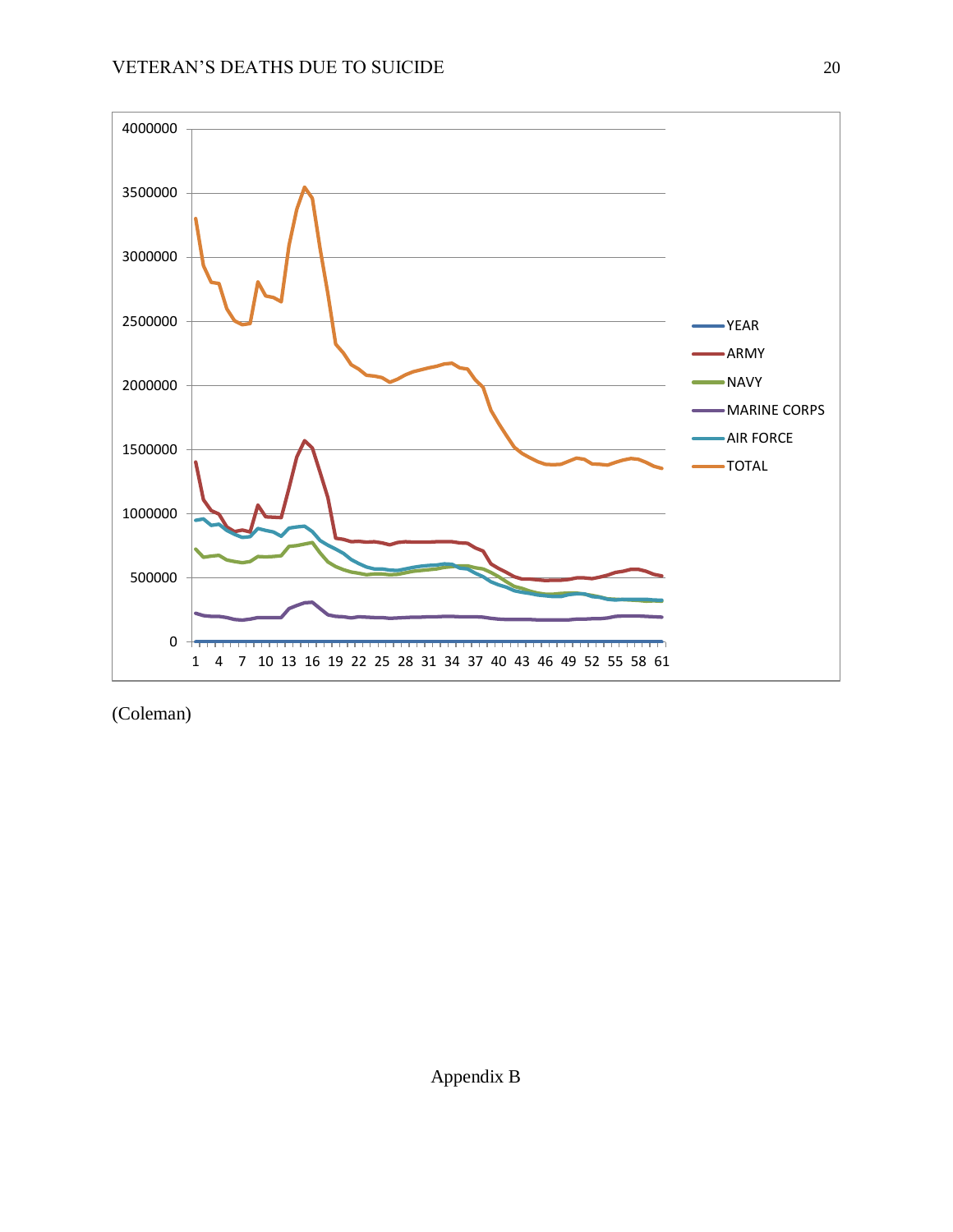

(Coleman)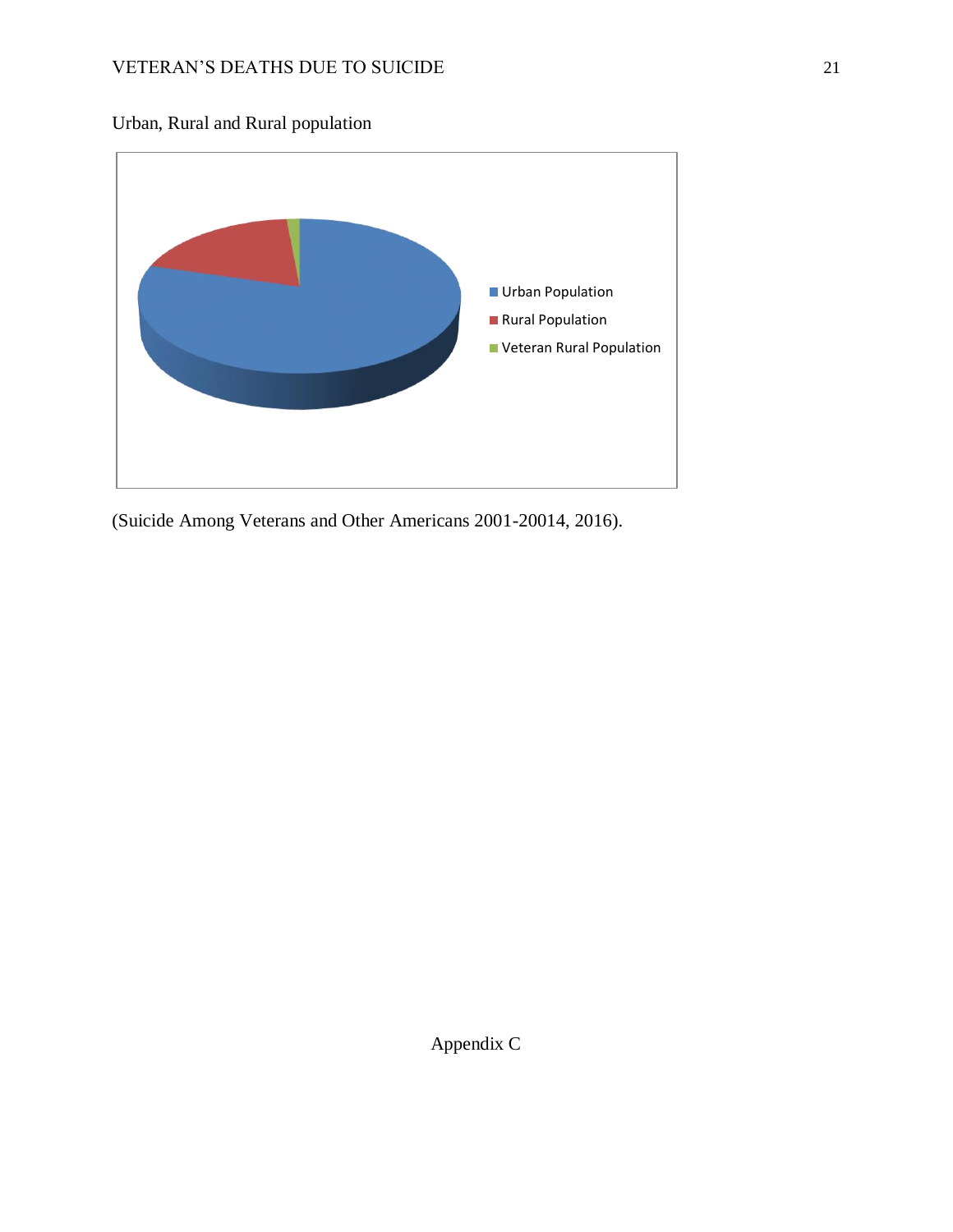Urban, Rural and Rural population



(Suicide Among Veterans and Other Americans 2001-20014, 2016).

Appendix C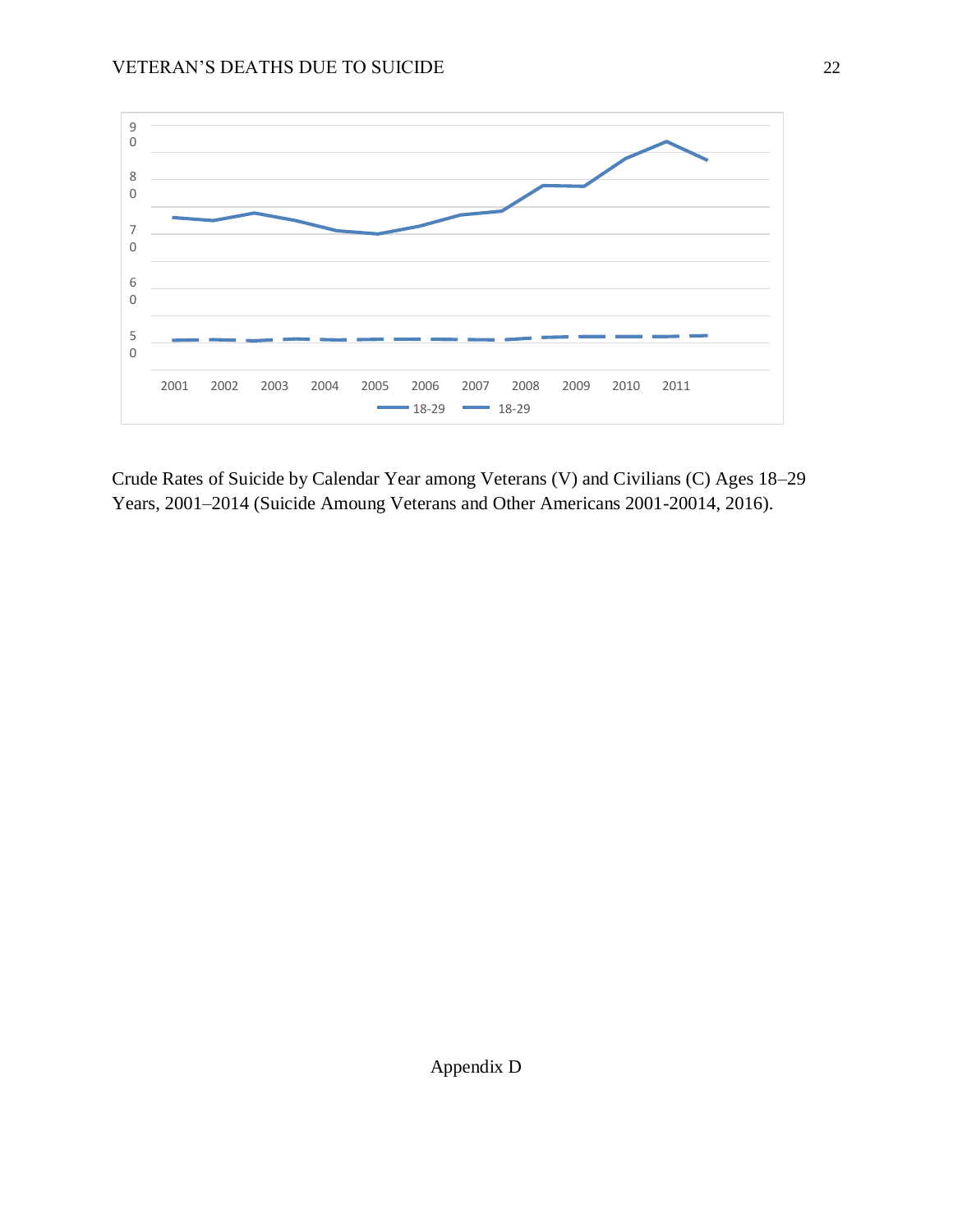

Crude Rates of Suicide by Calendar Year among Veterans (V) and Civilians (C) Ages 18–29 Years, 2001–2014 (Suicide Amoung Veterans and Other Americans 2001-20014, 2016).